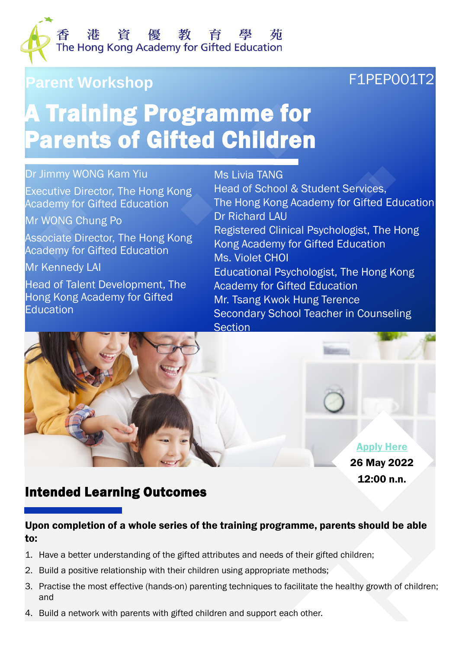

# Parent Workshop **F1PEP001T2**

# A Training Programme for Parents of Gifted Children

#### Dr Jimmy WONG Kam Yiu

Executive Director, The Hong Kong Academy for Gifted Education

Mr WONG Chung Po

Associate Director, The Hong Kong Academy for Gifted Education

Mr Kennedy LAI

Head of Talent Development, The Hong Kong Academy for Gifted **Education** 

Ms Livia TANG Head of School & Student Services, The Hong Kong Academy for Gifted Education Dr Richard LAU Registered Clinical Psychologist, The Hong Kong Academy for Gifted Education Ms. Violet CHOI Educational Psychologist, The Hong Kong Academy for Gifted Education Mr. Tsang Kwok Hung Terence Secondary School Teacher in Counseling **Section** 



#### Intended Learning Outcomes

#### Upon completion of a whole series of the training programme, parents should be able to:

- 1. Have a better understanding of the gifted attributes and needs of their gifted children;
- 2. Build a positive relationship with their children using appropriate methods;
- 3. Practise the most effective (hands-on) parenting techniques to facilitate the healthy growth of children; and
- 4. Build a network with parents with gifted children and support each other.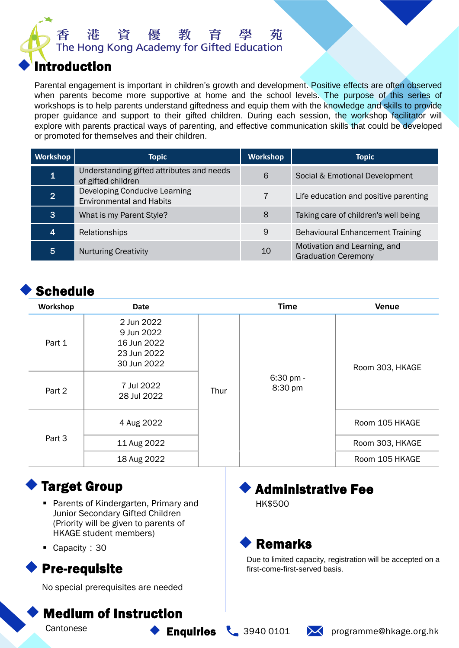

#### **Introduction**

Parental engagement is important in children's growth and development. Positive effects are often observed when parents become more supportive at home and the school levels. The purpose of this series of workshops is to help parents understand giftedness and equip them with the knowledge and skills to provide proper guidance and support to their gifted children. During each session, the workshop facilitator will explore with parents practical ways of parenting, and effective communication skills that could be developed or promoted for themselves and their children.

| <b>Workshop</b> | <b>Topic</b>                                                     | <b>Workshop</b> | <b>Topic</b>                                               |
|-----------------|------------------------------------------------------------------|-----------------|------------------------------------------------------------|
|                 | Understanding gifted attributes and needs<br>of gifted children  | 6               | Social & Emotional Development                             |
| 2 <sup>1</sup>  | Developing Conducive Learning<br><b>Environmental and Habits</b> |                 | Life education and positive parenting                      |
| 3               | What is my Parent Style?                                         | 8               | Taking care of children's well being                       |
| 4               | Relationships                                                    | 9               | <b>Behavioural Enhancement Training</b>                    |
| 5.              | <b>Nurturing Creativity</b>                                      | 10              | Motivation and Learning, and<br><b>Graduation Ceremony</b> |

# **Schedule**

| Workshop | Date                                                                  |      | <b>Time</b>          | <b>Venue</b>    |
|----------|-----------------------------------------------------------------------|------|----------------------|-----------------|
| Part 1   | 2 Jun 2022<br>9 Jun 2022<br>16 Jun 2022<br>23 Jun 2022<br>30 Jun 2022 |      |                      | Room 303, HKAGE |
| Part 2   | 7 Jul 2022<br>28 Jul 2022                                             | Thur | 6:30 pm -<br>8:30 pm |                 |
|          | 4 Aug 2022                                                            |      |                      | Room 105 HKAGE  |
| Part 3   | 11 Aug 2022                                                           |      |                      | Room 303, HKAGE |
|          | 18 Aug 2022                                                           |      |                      | Room 105 HKAGE  |

# **Target Group**

- Parents of Kindergarten, Primary and Junior Secondary Gifted Children (Priority will be given to parents of HKAGE student members)
- Capacity: 30

No special prerequisites are needed

### **Medium of Instruction**

**Cantonese** 

# **Administrative Fee**

HK\$500



Due to limited capacity, registration will be accepted on a <br>
Pre-requisite first-come-first-served basis.